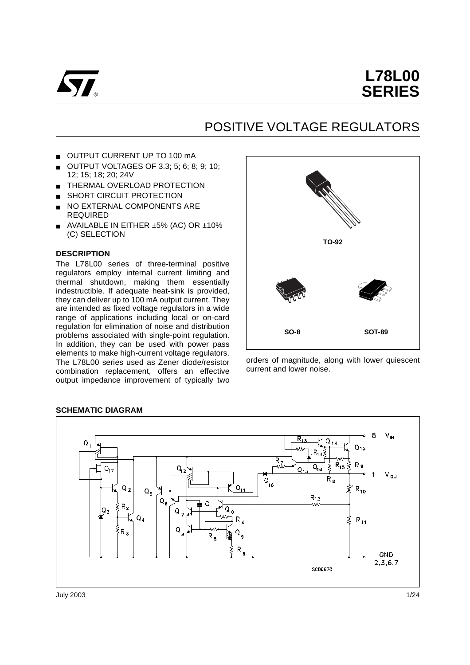

# **L78L00 SERIES**

# POSITIVE VOLTAGE REGULATORS

- OUTPUT CURRENT UP TO 100 mA
- OUTPUT VOLTAGES OF 3.3; 5; 6; 8; 9; 10; 12; 15; 18; 20; 24V
- THERMAL OVERLOAD PROTECTION
- SHORT CIRCUIT PROTECTION
- NO EXTERNAL COMPONENTS ARE REQUIRED
- AVAILABLE IN EITHER ±5% (AC) OR ±10% (C) SELECTION

#### **DESCRIPTION**

The L78L00 series of three-terminal positive regulators employ internal current limiting and thermal shutdown, making them essentially indestructible. If adequate heat-sink is provided, they can deliver up to 100 mA output current. They are intended as fixed voltage regulators in a wide range of applications including local or on-card regulation for elimination of noise and distribution problems associated with single-point regulation. In addition, they can be used with power pass elements to make high-current voltage regulators. The L78L00 series used as Zener diode/resistor combination replacement, offers an effective output impedance improvement of typically two



orders of magnitude, along with lower quiescent current and lower noise.



#### **SCHEMATIC DIAGRAM**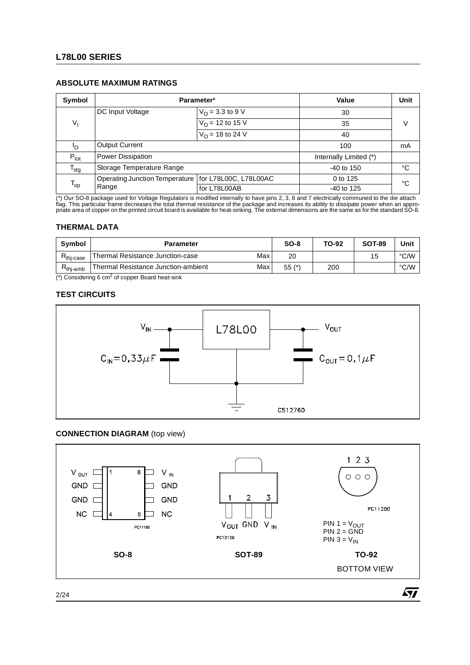# **L78L00 SERIES**

## **ABSOLUTE MAXIMUM RATINGS**

| Symbol            |                                                        | Parameter <sup>2</sup>    | Value                  | Unit |  |
|-------------------|--------------------------------------------------------|---------------------------|------------------------|------|--|
|                   | DC Input Voltage                                       | $V_{\Omega}$ = 3.3 to 9 V | 30                     |      |  |
| $V_{I}$           |                                                        | $V_{\Omega}$ = 12 to 15 V | 35                     | V    |  |
|                   |                                                        | $V_{\Omega}$ = 18 to 24 V | 40                     |      |  |
| Ιo                | <b>Output Current</b>                                  | 100                       | mA                     |      |  |
| $P_{\text{tot}}$  | Power Dissipation                                      |                           | Internally Limited (*) |      |  |
| $T_{\text{stg}}$  | Storage Temperature Range                              |                           | $-40$ to 150           | °C   |  |
| $T_{\mathsf{op}}$ | Operating Junction Temperature   for L78L00C, L78L00AC |                           | 0 to 125               | °C   |  |
|                   | Range                                                  | for L78L00AB              | $-40$ to 125           |      |  |

(\*) Our SO-8 package used for Voltage Regulators is modified internally to have pins 2, 3, 6 and 7 electrically communed to the die attach<br>flag. This particular frame decreases the total thermal resistance of the package a

#### **THERMAL DATA**

| Symbol         | <b>Parameter</b>                    |     | $SO-8$  | TO-92 | <b>SOT-89</b> | Unit                 |
|----------------|-------------------------------------|-----|---------|-------|---------------|----------------------|
| $R_{thi-case}$ | Thermal Resistance Junction-case    | Max | 20      |       | 15            | $\circ$ C/VV<br>اپ   |
| $Rthi-amb$     | Thermal Resistance Junction-ambient | Max | $55(*)$ | 200   |               | $^{\circ}$ C/W<br>اپ |

 $(*)$  Considering 6 cm<sup>2</sup> of copper Board heat-sink

#### **TEST CIRCUITS**



#### **CONNECTION DIAGRAM** (top view)



2/24

*ST*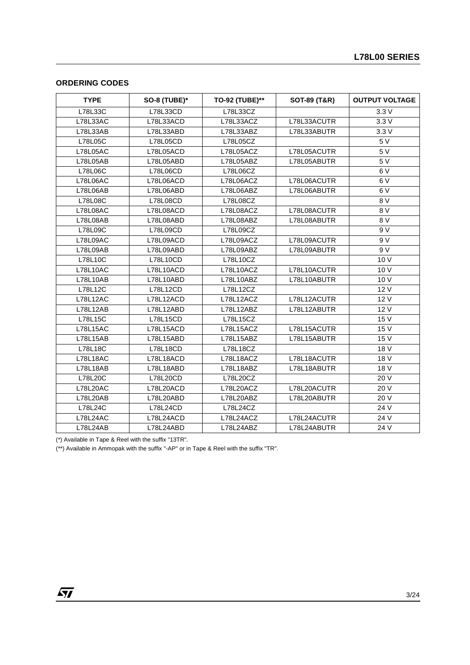## **ORDERING CODES**

| <b>TYPE</b>     | <b>SO-8 (TUBE)*</b> | TO-92 (TUBE)** | SOT-89 (T&R) | <b>OUTPUT VOLTAGE</b> |
|-----------------|---------------------|----------------|--------------|-----------------------|
| L78L33C         | L78L33CD            | L78L33CZ       |              | 3.3V                  |
| L78L33AC        | L78L33ACD           | L78L33ACZ      | L78L33ACUTR  | 3.3V                  |
| L78L33AB        | L78L33ABD           | L78L33ABZ      | L78L33ABUTR  | 3.3V                  |
| L78L05C         | L78L05CD            | L78L05CZ       |              | 5 V                   |
| <b>L78L05AC</b> | L78L05ACD           | L78L05ACZ      | L78L05ACUTR  | 5 V                   |
| L78L05AB        | L78L05ABD           | L78L05ABZ      | L78L05ABUTR  | 5 V                   |
| L78L06C         | L78L06CD            | L78L06CZ       |              | 6V                    |
| <b>L78L06AC</b> | L78L06ACD           | L78L06ACZ      | L78L06ACUTR  | 6V                    |
| L78L06AB        | L78L06ABD           | L78L06ABZ      | L78L06ABUTR  | 6V                    |
| L78L08C         | L78L08CD            | L78L08CZ       |              | 8 V                   |
| <b>L78L08AC</b> | L78L08ACD           | L78L08ACZ      | L78L08ACUTR  | 8 V                   |
| L78L08AB        | L78L08ABD           | L78L08ABZ      | L78L08ABUTR  | 8 V                   |
| L78L09C         | L78L09CD            | L78L09CZ       |              | 9 V                   |
| L78L09AC        | L78L09ACD           | L78L09ACZ      | L78L09ACUTR  | 9 V                   |
| L78L09AB        | L78L09ABD           | L78L09ABZ      | L78L09ABUTR  | 9V                    |
| L78L10C         | L78L10CD            | L78L10CZ       |              | 10 V                  |
| L78L10AC        | L78L10ACD           | L78L10ACZ      | L78L10ACUTR  | 10V                   |
| L78L10AB        | L78L10ABD           | L78L10ABZ      | L78L10ABUTR  | 10 V                  |
| L78L12C         | L78L12CD            | L78L12CZ       |              | 12V                   |
| L78L12AC        | L78L12ACD           | L78L12ACZ      | L78L12ACUTR  | 12 V                  |
| L78L12AB        | L78L12ABD           | L78L12ABZ      | L78L12ABUTR  | 12 V                  |
| L78L15C         | L78L15CD            | L78L15CZ       |              | 15 V                  |
| <b>L78L15AC</b> | L78L15ACD           | L78L15ACZ      | L78L15ACUTR  | 15 V                  |
| L78L15AB        | L78L15ABD           | L78L15ABZ      | L78L15ABUTR  | 15 V                  |
| L78L18C         | L78L18CD            | L78L18CZ       |              | 18 V                  |
| L78L18AC        | L78L18ACD           | L78L18ACZ      | L78L18ACUTR  | 18 V                  |
| L78L18AB        | L78L18ABD           | L78L18ABZ      | L78L18ABUTR  | 18 V                  |
| L78L20C         | L78L20CD            | L78L20CZ       |              | 20 V                  |
| <b>L78L20AC</b> | L78L20ACD           | L78L20ACZ      | L78L20ACUTR  | 20 V                  |
| L78L20AB        | L78L20ABD           | L78L20ABZ      | L78L20ABUTR  | 20 V                  |
| L78L24C         | L78L24CD            | L78L24CZ       |              | 24 V                  |
| L78L24AC        | L78L24ACD           | L78L24ACZ      | L78L24ACUTR  | 24 V                  |
| L78L24AB        | L78L24ABD           | L78L24ABZ      | L78L24ABUTR  | 24 V                  |

(\*) Available in Tape & Reel with the suffix "13TR".

(\*\*) Available in Ammopak with the suffix "-AP" or in Tape & Reel with the suffix "TR".

 $\sqrt{27}$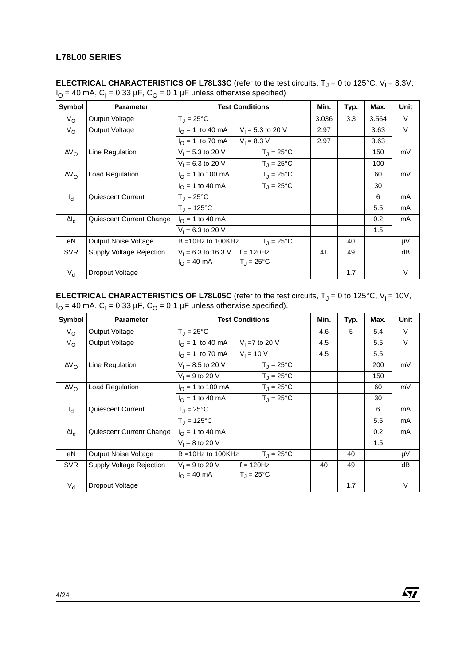| Symbol              | <b>Parameter</b>         | <b>Test Conditions</b>                               | Min.  | Typ. | Max.  | <b>Unit</b> |
|---------------------|--------------------------|------------------------------------------------------|-------|------|-------|-------------|
| $V_{\rm O}$         | Output Voltage           | $T_J = 25^{\circ}C$                                  | 3.036 | 3.3  | 3.564 | $\vee$      |
| $V_{\rm O}$         | Output Voltage           | $I_{\odot}$ = 1 to 40 mA<br>$V_1 = 5.3$ to 20 V      | 2.97  |      | 3.63  | $\vee$      |
|                     |                          | $V_1 = 8.3 V$<br>$I_{\Omega}$ = 1 to 70 mA           | 2.97  |      | 3.63  |             |
| $\Delta V_{\rm O}$  | Line Regulation          | $V_1 = 5.3$ to 20 V<br>$T_J = 25^{\circ}C$           |       |      | 150   | mV          |
|                     |                          | $V_1 = 6.3$ to 20 V<br>$T_{\rm J} = 25^{\circ}$ C    |       |      | 100   |             |
| $\Delta V_{\Omega}$ | Load Regulation          | $I_{\Omega}$ = 1 to 100 mA<br>$T_{J} = 25^{\circ}C$  |       |      | 60    | mV          |
|                     |                          | $T_1 = 25^{\circ}C$<br>$I_{\Omega}$ = 1 to 40 mA     |       |      | 30    |             |
| $I_{\rm d}$         | Quiescent Current        | $T_{\rm J} = 25^{\circ}$ C                           |       |      | 6     | mA          |
|                     |                          | $T_{J} = 125^{\circ}C$                               |       |      | 5.5   | mA          |
| $\Delta I_d$        | Quiescent Current Change | $I_{\Omega}$ = 1 to 40 mA                            |       |      | 0.2   | mA          |
|                     |                          | $V_1 = 6.3$ to 20 V                                  |       |      | 1.5   |             |
| еN                  | Output Noise Voltage     | $T_{\text{J}} = 25^{\circ}C$<br>$B = 10Hz$ to 100KHz |       | 40   |       | μV          |
| <b>SVR</b>          | Supply Voltage Rejection | $V_1 = 6.3$ to 16.3 V f = 120Hz                      | 41    | 49   |       | dB          |
|                     |                          | $I_{\Omega} = 40 \text{ mA}$<br>$T_J = 25^{\circ}C$  |       |      |       |             |
| $V_{d}$             | Dropout Voltage          |                                                      |       | 1.7  |       | V           |

**ELECTRICAL CHARACTERISTICS OF L78L33C** (refer to the test circuits,  $T_J = 0$  to 125°C,  $V_I = 8.3V$ ,  $I<sub>O</sub> = 40$  mA,  $C<sub>I</sub> = 0.33$  µF,  $C<sub>O</sub> = 0.1$  µF unless otherwise specified)

**ELECTRICAL CHARACTERISTICS OF L78L05C** (refer to the test circuits, T<sub>J</sub> = 0 to 125°C, V<sub>I</sub> = 10V,  $I_{\rm O}$  = 40 mA, C<sub>I</sub> = 0.33 µF, C<sub>O</sub> = 0.1 µF unless otherwise specified).

| Symbol              | <b>Parameter</b>         | <b>Test Conditions</b>                                    | Min. | Typ. | Max. | <b>Unit</b> |
|---------------------|--------------------------|-----------------------------------------------------------|------|------|------|-------------|
| $V_{\rm O}$         | Output Voltage           | $T_{\rm J} = 25^{\circ}$ C                                | 4.6  | 5    | 5.4  | $\vee$      |
| $V_{\rm O}$         | Output Voltage           | $I_{\text{O}} = 1$ to 40 mA<br>$V_1 = 7$ to 20 V          | 4.5  |      | 5.5  | $\vee$      |
|                     |                          | $V_1 = 10 V$<br>$I_{\Omega}$ = 1 to 70 mA                 | 4.5  |      | 5.5  |             |
| $\Delta V_{\rm O}$  | Line Regulation          | $V_1 = 8.5$ to 20 V<br>$T_{\rm J} = 25^{\circ}$ C         |      |      | 200  | mV          |
|                     |                          | $V_1 = 9$ to 20 V<br>$T_1 = 25^{\circ}C$                  |      |      | 150  |             |
| $\Delta V_{\Omega}$ | Load Regulation          | $I_{\Omega}$ = 1 to 100 mA<br>$T_1 = 25^{\circ}C$         |      |      | 60   | mV          |
|                     |                          | $T_{\rm J} = 25^{\circ}$ C<br>$I_{\Omega}$ = 1 to 40 mA   |      |      | 30   |             |
| $I_{d}$             | Quiescent Current        | $T_{\rm J} = 25^{\circ}$ C                                |      |      | 6    | mA          |
|                     |                          | $T_{\rm J} = 125^{\circ}C$                                |      |      | 5.5  | mA          |
| $\Delta I_d$        | Quiescent Current Change | $I_{\Omega}$ = 1 to 40 mA                                 |      |      | 0.2  | mA          |
|                     |                          | $V_1 = 8$ to 20 V                                         |      |      | 1.5  |             |
| eN                  | Output Noise Voltage     | $T_{\text{J}} = 25^{\circ}C$<br>$B = 10Hz$ to 100KHz      |      | 40   |      | $\mu V$     |
| <b>SVR</b>          | Supply Voltage Rejection | $V_1 = 9$ to 20 V $f = 120$ Hz                            | 40   | 49   |      | dB          |
|                     |                          | $I_{\Omega} = 40 \text{ mA}$<br>$T_{\rm J} = 25^{\circ}C$ |      |      |      |             |
| $V_{\rm d}$         | Dropout Voltage          |                                                           |      | 1.7  |      | V           |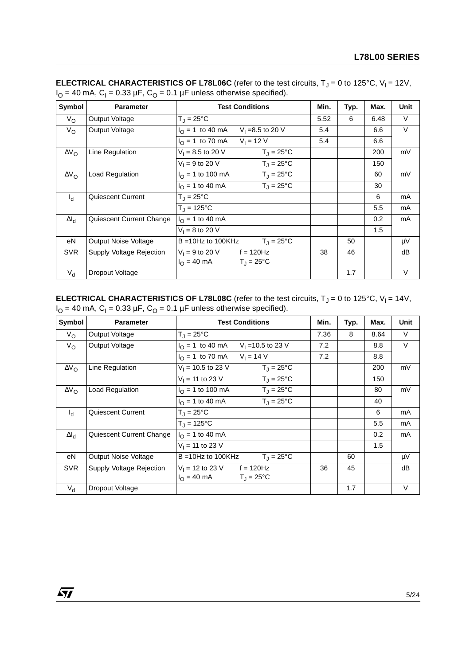| Symbol              | <b>Parameter</b>         | <b>Test Conditions</b>                                  | Min. | Typ. | Max. | <b>Unit</b> |
|---------------------|--------------------------|---------------------------------------------------------|------|------|------|-------------|
| $V_{\rm O}$         | Output Voltage           | $T_{\rm J} = 25^{\circ}$ C                              | 5.52 | 6    | 6.48 | $\vee$      |
| $V_{\rm O}$         | Output Voltage           | $I_{\Omega}$ = 1 to 40 mA<br>$V_1 = 8.5$ to 20 V        | 5.4  |      | 6.6  | $\vee$      |
|                     |                          | $V_1 = 12 V$<br>$I_{\Omega}$ = 1 to 70 mA               | 5.4  |      | 6.6  |             |
| $\Delta V_{\rm O}$  | Line Regulation          | $V_1 = 8.5$ to 20 V<br>$T_{\rm J} = 25^{\circ}$ C       |      |      | 200  | mV          |
|                     |                          | $V_1 = 9$ to 20 V<br>$T_{\rm J} = 25^{\circ}$ C         |      |      | 150  |             |
| $\Delta V_{\rm O}$  | Load Regulation          | $I_{\Omega}$ = 1 to 100 mA<br>$T_{\rm J} = 25^{\circ}C$ |      |      | 60   | mV          |
|                     |                          | $T_{\rm J} = 25^{\circ}$ C<br>$I_{\Omega}$ = 1 to 40 mA |      |      | 30   |             |
| $I_d$               | <b>Quiescent Current</b> | $T_{\rm J} = 25^{\circ}$ C                              |      |      | 6    | mA          |
|                     |                          | $T_1 = 125^{\circ}C$                                    |      |      | 5.5  | mA          |
| $\Delta I_{\rm cl}$ | Quiescent Current Change | $I_{\Omega}$ = 1 to 40 mA                               |      |      | 0.2  | mA          |
|                     |                          | $V_1 = 8$ to 20 V                                       |      |      | 1.5  |             |
| eN                  | Output Noise Voltage     | $B = 10Hz$ to 100KHz<br>$T_{\rm J} = 25^{\circ}$ C      |      | 50   |      | μV          |
| <b>SVR</b>          | Supply Voltage Rejection | $V_1 = 9$ to 20 V f = 120Hz                             | 38   | 46   |      | dB          |
|                     |                          | $I_{\Omega} = 40 \text{ mA}$<br>$T_J = 25^{\circ}C$     |      |      |      |             |
| $V_{d}$             | Dropout Voltage          |                                                         |      | 1.7  |      | V           |

**ELECTRICAL CHARACTERISTICS OF L78L06C** (refer to the test circuits,  $T_J = 0$  to 125°C,  $V_I = 12V$ ,  $I<sub>O</sub> = 40$  mA,  $C<sub>1</sub> = 0.33$  µF,  $C<sub>O</sub> = 0.1$  µF unless otherwise specified).

**ELECTRICAL CHARACTERISTICS OF L78L08C** (refer to the test circuits,  $T_J = 0$  to 125°C,  $V_I = 14V$ ,  $I<sub>O</sub> = 40$  mA,  $C<sub>I</sub> = 0.33$  µF,  $C<sub>O</sub> = 0.1$  µF unless otherwise specified).

| Symbol              | <b>Parameter</b>            | <b>Test Conditions</b>                                   | Min. | Typ. | Max. | <b>Unit</b> |
|---------------------|-----------------------------|----------------------------------------------------------|------|------|------|-------------|
| $V_{\rm O}$         | Output Voltage              | $T_{\rm J} = 25^{\circ}$ C                               | 7.36 | 8    | 8.64 | $\vee$      |
| $V_{\rm O}$         | Output Voltage              | $I_{\text{O}} = 1$ to 40 mA<br>$V_1$ = 10.5 to 23 V      | 7.2  |      | 8.8  | $\vee$      |
|                     |                             | $V_1 = 14 V$<br>$I_{\Omega}$ = 1 to 70 mA                | 7.2  |      | 8.8  |             |
| $\Delta V_{\rm O}$  | Line Regulation             | $V_1$ = 10.5 to 23 V<br>$T_{\rm J} = 25^{\circ}$ C       |      |      | 200  | mV          |
|                     |                             | $V_1 = 11$ to 23 V<br>$T_{\rm J} = 25^{\circ}$ C         |      |      | 150  |             |
| $\Delta V_{\Omega}$ | <b>Load Regulation</b>      | $T_{\rm J} = 25^{\circ}$ C<br>$I_{\Omega}$ = 1 to 100 mA |      |      | 80   | mV          |
|                     |                             | $T_{\rm J} = 25^{\circ}$ C<br>$I_{\Omega}$ = 1 to 40 mA  |      |      | 40   |             |
| $I_{d}$             | <b>Quiescent Current</b>    | $T_J = 25^{\circ}C$                                      |      |      | 6    | mA          |
|                     |                             | $T_{J} = 125^{\circ}C$                                   |      |      | 5.5  | mA          |
| $\Delta I_{\rm d}$  | Quiescent Current Change    | $I_{\Omega}$ = 1 to 40 mA                                |      |      | 0.2  | mA          |
|                     |                             | $V_1 = 11$ to 23 V                                       |      |      | 1.5  |             |
| eN                  | <b>Output Noise Voltage</b> | $T_{\rm J} = 25^{\circ}$ C<br>$B = 10Hz$ to 100KHz       |      | 60   |      | μV          |
| <b>SVR</b>          | Supply Voltage Rejection    | $V_1 = 12$ to 23 V f = 120Hz                             | 36   | 45   |      | dB          |
|                     |                             | $I_{\Omega} = 40 \text{ mA}$<br>$T_{\rm d}$ = 25°C       |      |      |      |             |
| $V_{d}$             | Dropout Voltage             |                                                          |      | 1.7  |      | $\vee$      |

 $\sqrt{M}$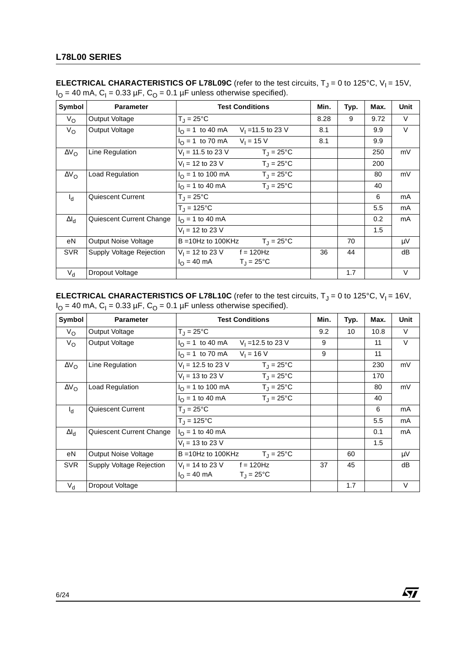| Symbol              | <b>Parameter</b>         | <b>Test Conditions</b>                              | Min. | Typ. | Max. | <b>Unit</b> |
|---------------------|--------------------------|-----------------------------------------------------|------|------|------|-------------|
| $V_{\rm O}$         | Output Voltage           | $T_J = 25^{\circ}C$                                 | 8.28 | 9    | 9.72 | $\vee$      |
| $V_{\rm O}$         | Output Voltage           | $I_{\Omega} = 1$ to 40 mA<br>$V_1$ = 11.5 to 23 V   | 8.1  |      | 9.9  | $\vee$      |
|                     |                          | $V_1 = 15 V$<br>$I_{\Omega}$ = 1 to 70 mA           | 8.1  |      | 9.9  |             |
| $\Delta V_{\rm O}$  | Line Regulation          | $V_1 = 11.5$ to 23 V<br>$T_J = 25^{\circ}C$         |      |      | 250  | mV          |
|                     |                          | $V_1 = 12$ to 23 V<br>$T_{\rm J} = 25^{\circ}$ C    |      |      | 200  |             |
| $\Delta V_{\Omega}$ | Load Regulation          | $T_1 = 25^{\circ}C$<br>$I_{\Omega}$ = 1 to 100 mA   |      |      | 80   | mV          |
|                     |                          | $T_1 = 25^{\circ}C$<br>$I_{\Omega}$ = 1 to 40 mA    |      |      | 40   |             |
| $I_{\rm d}$         | Quiescent Current        | $T_{\rm J} = 25^{\circ}$ C                          |      |      | 6    | mA          |
|                     |                          | $T_{J} = 125^{\circ}C$                              |      |      | 5.5  | mA          |
| $\Delta I_d$        | Quiescent Current Change | $I_{\Omega}$ = 1 to 40 mA                           |      |      | 0.2  | mA          |
|                     |                          | $V_1 = 12$ to 23 V                                  |      |      | 1.5  |             |
| eN                  | Output Noise Voltage     | $T_{\rm J} = 25^{\circ}$ C<br>$B = 10Hz$ to 100KHz  |      | 70   |      | μV          |
| <b>SVR</b>          | Supply Voltage Rejection | $V_1 = 12$ to 23 V f = 120Hz                        | 36   | 44   |      | dB          |
|                     |                          | $I_{\Omega} = 40 \text{ mA}$<br>$T_J = 25^{\circ}C$ |      |      |      |             |
| $V_{d}$             | Dropout Voltage          |                                                     |      | 1.7  |      | V           |

**ELECTRICAL CHARACTERISTICS OF L78L09C** (refer to the test circuits,  $T_J = 0$  to 125°C,  $V_I = 15V$ ,  $I<sub>O</sub> = 40$  mA,  $C<sub>1</sub> = 0.33$  µF,  $C<sub>O</sub> = 0.1$  µF unless otherwise specified).

**ELECTRICAL CHARACTERISTICS OF L78L10C** (refer to the test circuits, T<sub>J</sub> = 0 to 125°C, V<sub>I</sub> = 16V,  $I_{\rm O}$  = 40 mA, C<sub>I</sub> = 0.33 µF, C<sub>O</sub> = 0.1 µF unless otherwise specified).

| Symbol             | <b>Parameter</b>         | <b>Test Conditions</b>                                    | Min. | Typ. | Max. | <b>Unit</b> |
|--------------------|--------------------------|-----------------------------------------------------------|------|------|------|-------------|
| $V_{\rm O}$        | Output Voltage           | $T_{\rm J} = 25^{\circ}$ C                                | 9.2  | 10   | 10.8 | $\vee$      |
| $V_{\rm O}$        | Output Voltage           | $I_{\text{O}} = 1$ to 40 mA<br>$V_1 = 12.5$ to 23 V       | 9    |      | 11   | $\vee$      |
|                    |                          | $V_1 = 16 V$<br>$I_{\Omega}$ = 1 to 70 mA                 | 9    |      | 11   |             |
| $\Delta V_{\rm O}$ | Line Regulation          | $V_1 = 12.5$ to 23 V<br>$T_J = 25^{\circ}C$               |      |      | 230  | mV          |
|                    |                          | $T_{\rm J} = 25^{\circ}$ C<br>$V_1$ = 13 to 23 V          |      |      | 170  |             |
| $\Delta V_{\rm O}$ | Load Regulation          | $I_{\Omega}$ = 1 to 100 mA<br>$T_{\rm J} = 25^{\circ}$ C  |      |      | 80   | mV          |
|                    |                          | $T_{\rm J} = 25^{\circ}$ C<br>$I_{\Omega}$ = 1 to 40 mA   |      |      | 40   |             |
| $I_{\rm d}$        | <b>Quiescent Current</b> | $T_{\rm J} = 25^{\circ}$ C                                |      |      | 6    | mA          |
|                    |                          | $T_{\rm J} = 125^{\circ}C$                                |      |      | 5.5  | mA          |
| $\Delta I_d$       | Quiescent Current Change | $I_{\Omega}$ = 1 to 40 mA                                 |      |      | 0.1  | mA          |
|                    |                          | $V_1 = 13$ to 23 V                                        |      |      | 1.5  |             |
| eN                 | Output Noise Voltage     | $T_{\text{J}} = 25^{\circ}C$<br>$B = 10Hz$ to 100KHz      |      | 60   |      | $\mu V$     |
| <b>SVR</b>         | Supply Voltage Rejection | $V_1 = 14$ to 23 V f = 120Hz                              | 37   | 45   |      | dB          |
|                    |                          | $I_{\Omega} = 40 \text{ mA}$<br>$T_{\rm J} = 25^{\circ}C$ |      |      |      |             |
| $V_{d}$            | Dropout Voltage          |                                                           |      | 1.7  |      | $\vee$      |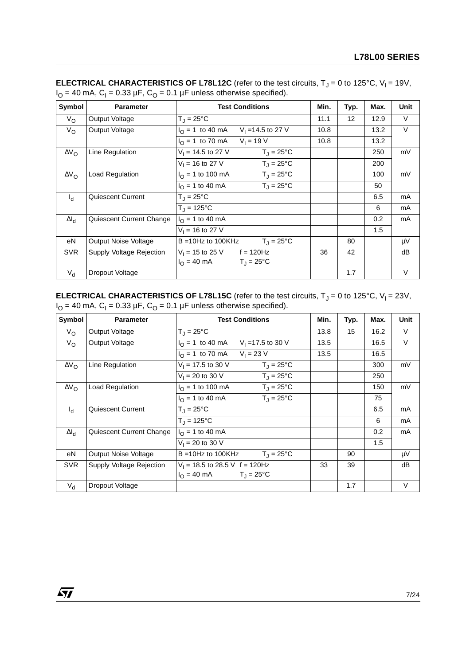| Symbol              | <b>Parameter</b>         | <b>Test Conditions</b>                                  | Min. | Typ. | Max. | <b>Unit</b> |
|---------------------|--------------------------|---------------------------------------------------------|------|------|------|-------------|
| $V_{\rm O}$         | Output Voltage           | $T_{\rm J} = 25^{\circ}$ C                              | 11.1 | 12   | 12.9 | V           |
| $V_{\rm O}$         | Output Voltage           | $I_{\Omega}$ = 1 to 40 mA<br>$V_1 = 14.5$ to 27 V       | 10.8 |      | 13.2 | V           |
|                     |                          | $V_1 = 19 V$<br>$I_{\Omega}$ = 1 to 70 mA               | 10.8 |      | 13.2 |             |
| $\Delta V_{\rm O}$  | Line Regulation          | $V_1 = 14.5$ to 27 V<br>$T_{\rm J} = 25^{\circ}$ C      |      |      | 250  | mV          |
|                     |                          | $V_1 = 16$ to 27 V<br>$T_{\rm J} = 25^{\circ}$ C        |      |      | 200  |             |
| $\Delta V_{\rm O}$  | Load Regulation          | $I_{\Omega}$ = 1 to 100 mA<br>$T_{\rm J} = 25^{\circ}C$ |      |      | 100  | mV          |
|                     |                          | $T_{\rm J} = 25^{\circ}$ C<br>$I_{\Omega}$ = 1 to 40 mA |      |      | 50   |             |
| $I_d$               | <b>Quiescent Current</b> | $T_{\rm J} = 25^{\circ}$ C                              |      |      | 6.5  | mA          |
|                     |                          | $T_1 = 125^{\circ}C$                                    |      |      | 6    | mA          |
| $\Delta I_{\rm cl}$ | Quiescent Current Change | $I_{\Omega}$ = 1 to 40 mA                               |      |      | 0.2  | mA          |
|                     |                          | $V_1 = 16$ to 27 V                                      |      |      | 1.5  |             |
| eN                  | Output Noise Voltage     | $B = 10Hz$ to 100KHz<br>$T_{\rm J} = 25^{\circ}$ C      |      | 80   |      | μV          |
| <b>SVR</b>          | Supply Voltage Rejection | $V_1 = 15$ to 25 V f = 120Hz                            | 36   | 42   |      | dB          |
|                     |                          | $I_{\Omega} = 40 \text{ mA}$<br>$T_J = 25^{\circ}C$     |      |      |      |             |
| $V_{d}$             | Dropout Voltage          |                                                         |      | 1.7  |      | V           |

**ELECTRICAL CHARACTERISTICS OF L78L12C** (refer to the test circuits,  $T_J = 0$  to 125°C,  $V_I = 19V$ ,  $I<sub>O</sub> = 40$  mA,  $C<sub>1</sub> = 0.33$  µF,  $C<sub>O</sub> = 0.1$  µF unless otherwise specified).

**ELECTRICAL CHARACTERISTICS OF L78L15C** (refer to the test circuits, T<sub>J</sub> = 0 to 125°C, V<sub>I</sub> = 23V,  $I_{\rm O}$  = 40 mA, C<sub>I</sub> = 0.33 µF, C<sub>O</sub> = 0.1 µF unless otherwise specified).

| Symbol              | <b>Parameter</b>            | <b>Test Conditions</b>                                  | Min. | Typ. | Max. | <b>Unit</b> |
|---------------------|-----------------------------|---------------------------------------------------------|------|------|------|-------------|
| $V_{\rm O}$         | Output Voltage              | $T_{\rm J} = 25^{\circ}$ C                              | 13.8 | 15   | 16.2 | $\vee$      |
| $V_{\rm O}$         | Output Voltage              | $I_{\text{O}} = 1$ to 40 mA<br>$V_1 = 17.5$ to 30 V     | 13.5 |      | 16.5 | $\vee$      |
|                     |                             | $V_1 = 23 V$<br>$I_{\Omega}$ = 1 to 70 mA               | 13.5 |      | 16.5 |             |
| $\Delta V_{\rm O}$  | Line Regulation             | $V_1$ = 17.5 to 30 V<br>$T_J = 25^{\circ}C$             |      |      | 300  | mV          |
|                     |                             | $V_1 = 20$ to 30 V<br>$T_{\rm J} = 25^{\circ}$ C        |      |      | 250  |             |
| $\Delta V_{\Omega}$ | Load Regulation             | $T_1 = 25^{\circ}C$<br>$I_{\Omega}$ = 1 to 100 mA       |      |      | 150  | mV          |
|                     |                             | $T_{\rm J} = 25^{\circ}$ C<br>$I_{\Omega}$ = 1 to 40 mA |      |      | 75   |             |
| $I_{d}$             | <b>Quiescent Current</b>    | $T_{\rm J} = 25^{\circ}$ C                              |      |      | 6.5  | mA          |
|                     |                             | $T_{\rm J} = 125^{\circ}C$                              |      |      | 6    | mA          |
| $\Delta I_d$        | Quiescent Current Change    | $I_{\Omega}$ = 1 to 40 mA                               |      |      | 0.2  | mA          |
|                     |                             | $V_1 = 20$ to 30 V                                      |      |      | 1.5  |             |
| eN                  | <b>Output Noise Voltage</b> | $T_{\text{J}} = 25^{\circ}C$<br>$B = 10Hz$ to 100KHz    |      | 90   |      | μV          |
| <b>SVR</b>          | Supply Voltage Rejection    | $V_1$ = 18.5 to 28.5 V f = 120Hz                        | 33   | 39   |      | dB          |
|                     |                             | $I_{\Omega} = 40 \text{ mA}$<br>$T_1 = 25^{\circ}C$     |      |      |      |             |
| $V_{d}$             | Dropout Voltage             |                                                         |      | 1.7  |      | $\vee$      |

 $\sqrt{M}$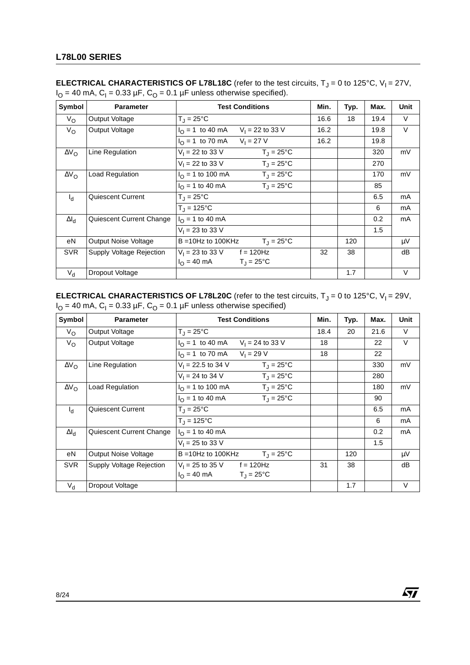| Symbol             | <b>Parameter</b>         | <b>Test Conditions</b>                                    | Min. | Typ. | Max. | <b>Unit</b> |
|--------------------|--------------------------|-----------------------------------------------------------|------|------|------|-------------|
| $V_{\rm O}$        | Output Voltage           | $T_J = 25^{\circ}C$                                       | 16.6 | 18   | 19.4 | $\vee$      |
| $V_{\rm O}$        | Output Voltage           | $I_{\Omega}$ = 1 to 40 mA<br>$V_1 = 22$ to 33 V           | 16.2 |      | 19.8 | $\vee$      |
|                    |                          | $V_1 = 27 V$<br>$I_{\Omega}$ = 1 to 70 mA                 | 16.2 |      | 19.8 |             |
| $\Delta V_{\rm O}$ | Line Regulation          | $V_1 = 22$ to 33 V<br>$T_J = 25^{\circ}C$                 |      |      | 320  | mV          |
|                    |                          | $V_1 = 22$ to 33 V<br>$T_{\rm J} = 25^{\circ}$ C          |      |      | 270  |             |
| $\Delta V_{\rm O}$ | Load Regulation          | $T_1 = 25^{\circ}C$<br>$I_{\odot}$ = 1 to 100 mA          |      |      | 170  | mV          |
|                    |                          | $T_{\text{J}} = 25^{\circ}C$<br>$I_{\Omega}$ = 1 to 40 mA |      |      | 85   |             |
| $I_d$              | Quiescent Current        | $T_{\rm J} = 25^{\circ}$ C                                |      |      | 6.5  | mA          |
|                    |                          | $T_{J} = 125^{\circ}C$                                    |      |      | 6    | mA          |
| $\Delta I_d$       | Quiescent Current Change | $I_{\Omega}$ = 1 to 40 mA                                 |      |      | 0.2  | mA          |
|                    |                          | $V_1 = 23$ to 33 V                                        |      |      | 1.5  |             |
| еN                 | Output Noise Voltage     | $T_{\text{J}} = 25^{\circ}C$<br>$B = 10Hz$ to 100KHz      |      | 120  |      | μV          |
| <b>SVR</b>         | Supply Voltage Rejection | $V_1 = 23$ to 33 V f = 120Hz                              | 32   | 38   |      | dB          |
|                    |                          | $I_{\Omega} = 40 \text{ mA}$<br>$T_J = 25^{\circ}C$       |      |      |      |             |
| $V_{\rm d}$        | Dropout Voltage          |                                                           |      | 1.7  |      | V           |

**ELECTRICAL CHARACTERISTICS OF L78L18C** (refer to the test circuits,  $T_J = 0$  to 125°C,  $V_I = 27V$ ,  $I<sub>O</sub> = 40$  mA,  $C<sub>1</sub> = 0.33$  µF,  $C<sub>O</sub> = 0.1$  µF unless otherwise specified).

**ELECTRICAL CHARACTERISTICS OF L78L20C** (refer to the test circuits, T<sub>J</sub> = 0 to 125°C, V<sub>I</sub> = 29V,  $I_{\rm O}$  = 40 mA, C<sub>I</sub> = 0.33 µF, C<sub>O</sub> = 0.1 µF unless otherwise specified)

| Symbol             | <b>Parameter</b>         | <b>Test Conditions</b>                                    | Min. | Typ. | Max. | <b>Unit</b> |
|--------------------|--------------------------|-----------------------------------------------------------|------|------|------|-------------|
| $V_{\rm O}$        | Output Voltage           | $T_{\rm J} = 25^{\circ}$ C                                | 18.4 | 20   | 21.6 | $\vee$      |
| $V_{\rm O}$        | Output Voltage           | $I_{\rm O} = 1$ to 40 mA<br>$V_1 = 24$ to 33 V            | 18   |      | 22   | $\vee$      |
|                    |                          | $V_1 = 29 V$<br>$I_{\Omega}$ = 1 to 70 mA                 | 18   |      | 22   |             |
| $\Delta V_{\rm O}$ | Line Regulation          | $V_1 = 22.5$ to 34 V<br>$T_J = 25^{\circ}C$               |      |      | 330  | mV          |
|                    |                          | $T_{\rm J} = 25^{\circ}$ C<br>$V_1 = 24$ to 34 V          |      |      | 280  |             |
| $\Delta V_{\rm O}$ | Load Regulation          | $I_{\Omega}$ = 1 to 100 mA<br>$T_{\rm J} = 25^{\circ}$ C  |      |      | 180  | mV          |
|                    |                          | $T_{\rm J} = 25^{\circ}$ C<br>$I_{\Omega}$ = 1 to 40 mA   |      |      | 90   |             |
| $I_{\rm d}$        | <b>Quiescent Current</b> | $T_{\rm J} = 25^{\circ}$ C                                |      |      | 6.5  | mA          |
|                    |                          | $T_{\rm J} = 125^{\circ}C$                                |      |      | 6    | mA          |
| $\Delta I_d$       | Quiescent Current Change | $I_{\Omega}$ = 1 to 40 mA                                 |      |      | 0.2  | mA          |
|                    |                          | $V_1 = 25$ to 33 V                                        |      |      | 1.5  |             |
| eN                 | Output Noise Voltage     | $T_{\text{J}} = 25^{\circ}C$<br>$B = 10Hz$ to 100KHz      |      | 120  |      | $\mu V$     |
| <b>SVR</b>         | Supply Voltage Rejection | $V_1 = 25$ to 35 V f = 120Hz                              | 31   | 38   |      | dB          |
|                    |                          | $I_{\Omega} = 40 \text{ mA}$<br>$T_{\rm J} = 25^{\circ}C$ |      |      |      |             |
| $V_{d}$            | Dropout Voltage          |                                                           |      | 1.7  |      | $\vee$      |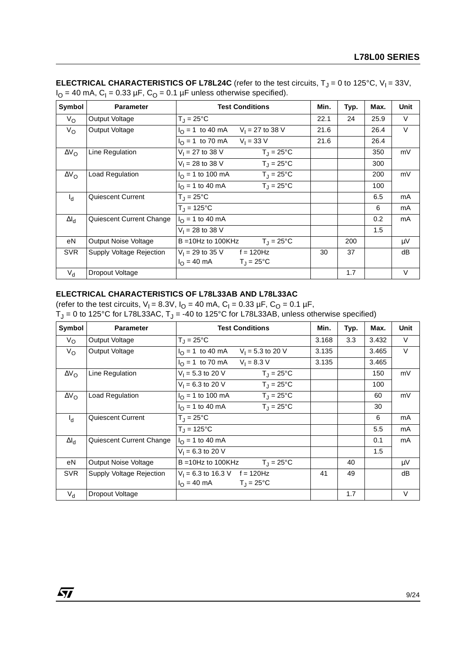| Symbol              | <b>Parameter</b>         | <b>Test Conditions</b>                                  | Min. | Typ. | Max. | <b>Unit</b> |
|---------------------|--------------------------|---------------------------------------------------------|------|------|------|-------------|
| $V_{\rm O}$         | Output Voltage           | $T_{\rm J}$ = 25°C                                      | 22.1 | 24   | 25.9 | $\vee$      |
| $V_{\rm O}$         | Output Voltage           | $I_{\Omega}$ = 1 to 40 mA<br>$V_1 = 27$ to 38 V         | 21.6 |      | 26.4 | $\vee$      |
|                     |                          | $V_1 = 33 V$<br>$I_{\Omega}$ = 1 to 70 mA               | 21.6 |      | 26.4 |             |
| $\Delta V_{\rm O}$  | Line Regulation          | $V_1 = 27$ to 38 V<br>$T_{\rm J} = 25^{\circ}$ C        |      |      | 350  | mV          |
|                     |                          | $V_1 = 28$ to 38 V<br>$T_{\rm J} = 25^{\circ}$ C        |      |      | 300  |             |
| $\Delta V_{\Omega}$ | Load Regulation          | $I_{\Omega}$ = 1 to 100 mA<br>$T_{\rm J} = 25^{\circ}C$ |      |      | 200  | mV          |
|                     |                          | $T_{\rm J} = 25^{\circ}$ C<br>$I_{\Omega}$ = 1 to 40 mA |      |      | 100  |             |
| $I_d$               | Quiescent Current        | $T_{\rm J} = 25^{\circ}$ C                              |      |      | 6.5  | mA          |
|                     |                          | $T_{\rm J} = 125^{\circ}C$                              |      |      | 6    | mA          |
| $\Delta I_d$        | Quiescent Current Change | $I_{\Omega}$ = 1 to 40 mA                               |      |      | 0.2  | mA          |
|                     |                          | $V_1 = 28$ to 38 V                                      |      |      | 1.5  |             |
| eN                  | Output Noise Voltage     | $T_{\rm J} = 25^{\circ}$ C<br>$B = 10Hz$ to 100KHz      |      | 200  |      | μV          |
| <b>SVR</b>          | Supply Voltage Rejection | $V_1 = 29$ to 35 V f = 120Hz                            | 30   | 37   |      | dB          |
|                     |                          | $I_{\Omega} = 40 \text{ mA}$<br>$T_J = 25^{\circ}C$     |      |      |      |             |
| $V_{d}$             | Dropout Voltage          |                                                         |      | 1.7  |      | V           |

**ELECTRICAL CHARACTERISTICS OF L78L24C** (refer to the test circuits,  $T_J = 0$  to 125°C,  $V_I = 33V$ ,  $I<sub>O</sub>$  = 40 mA, C<sub>I</sub> = 0.33 µF, C<sub>O</sub> = 0.1 µF unless otherwise specified).

#### **ELECTRICAL CHARACTERISTICS OF L78L33AB AND L78L33AC**

(refer to the test circuits,  $V_1 = 8.3V$ ,  $I_0 = 40$  mA,  $C_1 = 0.33 \mu F$ ,  $C_0 = 0.1 \mu F$ ,  $T_J$  = 0 to 125°C for L78L33AC,  $T_J$  = -40 to 125°C for L78L33AB, unless otherwise specified)

| Symbol             | <b>Parameter</b>         | <b>Test Conditions</b>                                   | Min.  | Typ. | Max.  | <b>Unit</b> |
|--------------------|--------------------------|----------------------------------------------------------|-------|------|-------|-------------|
| $V_{\rm O}$        | Output Voltage           | $T_{\rm J} = 25^{\circ}$ C                               | 3.168 | 3.3  | 3.432 | V           |
| $V_{\rm O}$        | Output Voltage           | $I_{\Omega}$ = 1 to 40 mA<br>$V_1 = 5.3$ to 20 V         | 3.135 |      | 3.465 | $\vee$      |
|                    |                          | $V_1 = 8.3 V$<br>$I_{\Omega} = 1$ to 70 mA               | 3.135 |      | 3.465 |             |
| $\Delta V_{\rm O}$ | Line Regulation          | $V_1 = 5.3$ to 20 V<br>$T_J = 25^{\circ}C$               |       |      | 150   | mV          |
|                    |                          | $V_1 = 6.3$ to 20 V<br>$T_{\rm J} = 25^{\circ}$ C        |       |      | 100   |             |
| $\Delta V_{\rm O}$ | Load Regulation          | $I_{\Omega}$ = 1 to 100 mA<br>$T_{\rm J} = 25^{\circ}$ C |       |      | 60    | mV          |
|                    |                          | $T_{\rm J} = 25^{\circ}$ C<br>$I_{\Omega}$ = 1 to 40 mA  |       |      | 30    |             |
| $I_d$              | Quiescent Current        | $T_{\rm J} = 25^{\circ}$ C                               |       |      | 6     | mA          |
|                    |                          | $T_{\rm J} = 125^{\circ}C$                               |       |      | 5.5   | mA          |
| $\Delta I_{\rm d}$ | Quiescent Current Change | $I_{\Omega}$ = 1 to 40 mA                                |       |      | 0.1   | mA          |
|                    |                          | $V_1 = 6.3$ to 20 V                                      |       |      | 1.5   |             |
| eN                 | Output Noise Voltage     | $T_{\rm J} = 25^{\circ}$ C<br>$B = 10$ Hz to 100KHz      |       | 40   |       | μV          |
| <b>SVR</b>         | Supply Voltage Rejection | $V_1 = 6.3$ to 16.3 V f = 120Hz                          | 41    | 49   |       | dB          |
|                    |                          | $I_{\Omega} = 40 \text{ mA}$<br>$T_1 = 25^{\circ}C$      |       |      |       |             |
| $V_{d}$            | Dropout Voltage          |                                                          |       | 1.7  |       | $\vee$      |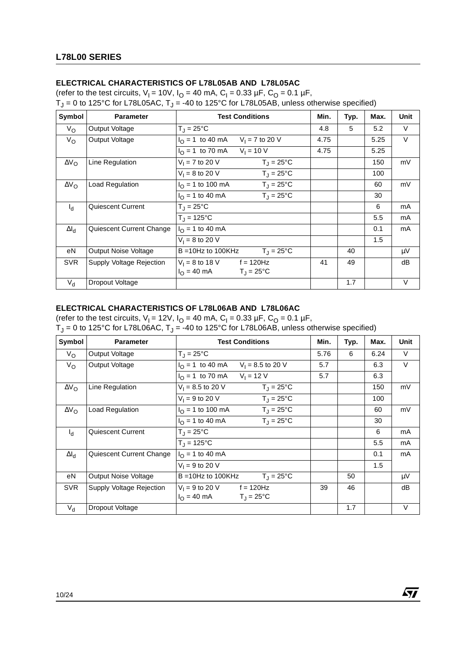# **ELECTRICAL CHARACTERISTICS OF L78L05AB AND L78L05AC**

(refer to the test circuits,  $V_1 = 10V$ ,  $I_O = 40$  mA,  $C_1 = 0.33$  µF,  $C_0 = 0.1$  µF,

T<sub>J</sub> = 0 to 125°C for L78L05AC, T<sub>J</sub> = -40 to 125°C for L78L05AB, unless otherwise specified)

| Symbol             | <b>Parameter</b>         | <b>Test Conditions</b>                                    | Min. | Typ. | Max. | <b>Unit</b> |
|--------------------|--------------------------|-----------------------------------------------------------|------|------|------|-------------|
| $V_{\rm O}$        | Output Voltage           | $T_J = 25^{\circ}C$                                       | 4.8  | 5    | 5.2  | $\vee$      |
| $V_{\rm O}$        | Output Voltage           | $I_{\Omega}$ = 1 to 40 mA<br>$V_1 = 7$ to 20 V            | 4.75 |      | 5.25 | $\vee$      |
|                    |                          | $V_1 = 10 V$<br>$I0 = 1$ to 70 mA                         | 4.75 |      | 5.25 |             |
| $\Delta V_{\rm O}$ | Line Regulation          | $V_1 = 7$ to 20 V<br>$T_J = 25^{\circ}C$                  |      |      | 150  | mV          |
|                    |                          | $V_1 = 8$ to 20 V<br>$T_{\rm J} = 25^{\circ}$ C           |      |      | 100  |             |
| $\Delta V_{\rm O}$ | Load Regulation          | $T_{\rm J} = 25^{\circ}$ C<br>$I_{\Omega}$ = 1 to 100 mA  |      |      | 60   | mV          |
|                    |                          | $T_{\text{J}} = 25^{\circ}C$<br>$I_{\Omega}$ = 1 to 40 mA |      |      | 30   |             |
| $I_{\rm d}$        | Quiescent Current        | $T_J = 25^{\circ}C$                                       |      |      | 6    | mA          |
|                    |                          | $T_{J} = 125^{\circ}C$                                    |      |      | 5.5  | mA          |
| $\Delta I_d$       | Quiescent Current Change | $I_{\Omega}$ = 1 to 40 mA                                 |      |      | 0.1  | mA          |
|                    |                          | $V_1 = 8$ to 20 V                                         |      |      | 1.5  |             |
| eN                 | Output Noise Voltage     | $B = 10Hz$ to 100KHz<br>$T_1 = 25^{\circ}C$               |      | 40   |      | μV          |
| <b>SVR</b>         | Supply Voltage Rejection | $V_1 = 8$ to 18 V<br>$f = 120$ Hz                         | 41   | 49   |      | dB          |
|                    |                          | $I_{\Omega} = 40 \text{ mA}$<br>$T_{\rm J} = 25^{\circ}C$ |      |      |      |             |
| $V_{\rm d}$        | Dropout Voltage          |                                                           |      | 1.7  |      | V           |

## **ELECTRICAL CHARACTERISTICS OF L78L06AB AND L78L06AC**

(refer to the test circuits,  $V_1 = 12V$ ,  $I_O = 40$  mA,  $C_1 = 0.33$  µF,  $C_O = 0.1$  µF, T<sub>J</sub> = 0 to 125°C for L78L06AC, T<sub>J</sub> = -40 to 125°C for L78L06AB, unless otherwise specified)

| Symbol              | <b>Parameter</b>            | <b>Test Conditions</b>                                  | Min. | Typ. | Max. | <b>Unit</b> |
|---------------------|-----------------------------|---------------------------------------------------------|------|------|------|-------------|
| $V_{\rm O}$         | Output Voltage              | $T_J = 25^{\circ}C$                                     | 5.76 | 6    | 6.24 | $\vee$      |
| $V_{\rm O}$         | Output Voltage              | $I_{\Omega}$ = 1 to 40 mA<br>$V_1 = 8.5$ to 20 V        | 5.7  |      | 6.3  | $\vee$      |
|                     |                             | $V_1 = 12 V$<br>$I_{\Omega}$ = 1 to 70 mA               | 5.7  |      | 6.3  |             |
| $\Delta V_{\Omega}$ | Line Regulation             | $V_1 = 8.5$ to 20 V<br>$T_{\rm J} = 25^{\circ}$ C       |      |      | 150  | mV          |
|                     |                             | $T_{\rm J} = 25^{\circ}$ C<br>$V_1 = 9$ to 20 V         |      |      | 100  |             |
| $\Delta V_{\rm O}$  | Load Regulation             | $I_{\Omega}$ = 1 to 100 mA<br>$T_J = 25^{\circ}C$       |      |      | 60   | mV          |
|                     |                             | $T_{\rm J} = 25^{\circ}$ C<br>$I_{\Omega}$ = 1 to 40 mA |      |      | 30   |             |
| l <sub>d</sub>      | Quiescent Current           | $T_J = 25^{\circ}C$                                     |      |      | 6    | mA          |
|                     |                             | $T_{\rm J} = 125^{\circ}C$                              |      |      | 5.5  | mA          |
| $\Delta I_{\rm d}$  | Quiescent Current Change    | $I_{\Omega}$ = 1 to 40 mA                               |      |      | 0.1  | mA          |
|                     |                             | $V_1 = 9$ to 20 V                                       |      |      | 1.5  |             |
| eN                  | <b>Output Noise Voltage</b> | $B = 10Hz$ to 100KHz<br>$T_{\rm J} = 25^{\circ}$ C      |      | 50   |      | μV          |
| <b>SVR</b>          | Supply Voltage Rejection    | $V_1 = 9$ to 20 V f = 120Hz                             | 39   | 46   |      | dВ          |
|                     |                             | $I_{\Omega}$ = 40 mA<br>$T_{J} = 25^{\circ}C$           |      |      |      |             |
| $V_{d}$             | Dropout Voltage             |                                                         |      | 1.7  |      | V           |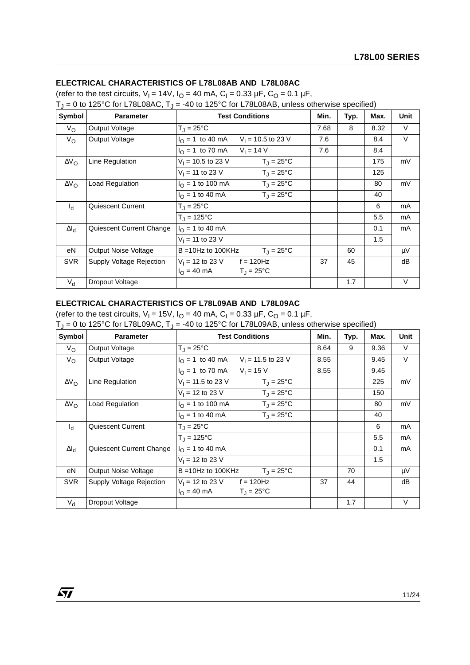## **ELECTRICAL CHARACTERISTICS OF L78L08AB AND L78L08AC**

(refer to the test circuits,  $V_1 = 14V$ ,  $I_0 = 40$  mA,  $C_1 = 0.33 \mu F$ ,  $C_0 = 0.1 \mu F$ ,  $T_J = 0$  to 125°C for L78L08AC,  $T_J = -40$  to 125°C for L78L08AB, unless otherwise specified)

| Symbol             | <b>Parameter</b>         | <b>Test Conditions</b>                                    | Min. | Typ. | Max. | <b>Unit</b> |
|--------------------|--------------------------|-----------------------------------------------------------|------|------|------|-------------|
| $V_{\rm O}$        | Output Voltage           | $T_{\rm J} = 25^{\circ}$ C                                | 7.68 | 8    | 8.32 | V           |
| $V_{\rm O}$        | Output Voltage           | $I_{\Omega}$ = 1 to 40 mA<br>$V_1$ = 10.5 to 23 V         | 7.6  |      | 8.4  | V           |
|                    |                          | $V_1 = 14 V$<br>$I_{\Omega}$ = 1 to 70 mA                 | 7.6  |      | 8.4  |             |
| $\Delta V_{\rm O}$ | Line Regulation          | $V_1$ = 10.5 to 23 V<br>$T_J = 25^{\circ}C$               |      |      | 175  | mV          |
|                    |                          | $V_1 = 11$ to 23 V<br>$T_{\rm J} = 25^{\circ}$ C          |      |      | 125  |             |
| $\Delta V_{\rm O}$ | Load Regulation          | $T_J = 25^{\circ}C$<br>$I_{\text{O}} = 1$ to 100 mA       |      |      | 80   | mV          |
|                    |                          | $T_{\rm J} = 25^{\circ}$ C<br>$I_{\Omega}$ = 1 to 40 mA   |      |      | 40   |             |
| $I_d$              | Quiescent Current        | $T_{\rm J} = 25^{\circ}$ C                                |      |      | 6    | mA          |
|                    |                          | $T_{\rm J} = 125^{\circ}C$                                |      |      | 5.5  | mA          |
| $\Delta I_d$       | Quiescent Current Change | $I_{\Omega}$ = 1 to 40 mA                                 |      |      | 0.1  | mA          |
|                    |                          | $V_1 = 11$ to 23 V                                        |      |      | 1.5  |             |
| eN                 | Output Noise Voltage     | $B = 10Hz$ to 100KHz<br>$T_{\rm J} = 25^{\circ}$ C        |      | 60   |      | $\mu$ V     |
| <b>SVR</b>         | Supply Voltage Rejection | $V_1 = 12$ to 23 V f = 120Hz                              | 37   | 45   |      | dB          |
|                    |                          | $I_{\Omega} = 40 \text{ mA}$<br>$T_{\rm J} = 25^{\circ}C$ |      |      |      |             |
| $V_{d}$            | Dropout Voltage          |                                                           |      | 1.7  |      | $\vee$      |

#### **ELECTRICAL CHARACTERISTICS OF L78L09AB AND L78L09AC**

 $\sqrt{1}$ 

(refer to the test circuits,  $V_1 = 15V$ ,  $I_0 = 40$  mA,  $C_1 = 0.33 \mu F$ ,  $C_0 = 0.1 \mu F$ ,  $T_1 = 0$  to 125°C for L78L09AC,  $T_1 = -40$  to 125°C for L78L09AB, unless otherwise specified)

| Symbol             | <b>Parameter</b>            | <b>Test Conditions</b>                                   | Min. | Typ. | Max. | Unit   |
|--------------------|-----------------------------|----------------------------------------------------------|------|------|------|--------|
| $V_{\rm O}$        | Output Voltage              | $T_J = 25^{\circ}C$                                      | 8.64 | 9    | 9.36 | V      |
| $V_{\rm O}$        | Output Voltage              | $V_1$ = 11.5 to 23 V<br>$I_{\odot}$ = 1 to 40 mA         | 8.55 |      | 9.45 | $\vee$ |
|                    |                             | $I_{\Omega} = 1$ to 70 mA<br>$V_1 = 15 V$                | 8.55 |      | 9.45 |        |
| $\Delta V_{\rm O}$ | Line Regulation             | $V_1 = 11.5$ to 23 V<br>$T_J = 25^{\circ}C$              |      |      | 225  | mV     |
|                    |                             | $T_{\rm J} = 25^{\circ}$ C<br>$V_1 = 12$ to 23 V         |      |      | 150  |        |
| $\Delta V_{\rm O}$ | Load Regulation             | $I_{\Omega}$ = 1 to 100 mA<br>$T_{\rm J} = 25^{\circ}$ C |      |      | 80   | mV     |
|                    |                             | $T_{\rm J} = 25^{\circ}$ C<br>$I_{\Omega}$ = 1 to 40 mA  |      |      | 40   |        |
| $I_d$              | <b>Quiescent Current</b>    | $T_{\rm J} = 25^{\circ}$ C                               |      |      | 6    | mA     |
|                    |                             | $T_{\rm J} = 125^{\circ}C$                               |      |      | 5.5  | mA     |
| $\Delta I_{\rm d}$ | Quiescent Current Change    | $I_{\Omega}$ = 1 to 40 mA                                |      |      | 0.1  | mA     |
|                    |                             | $V_1 = 12$ to 23 V                                       |      |      | 1.5  |        |
| eN                 | <b>Output Noise Voltage</b> | $T_{\rm J} = 25^{\circ}$ C<br>$B = 10$ Hz to 100KHz      |      | 70   |      | μV     |
| <b>SVR</b>         | Supply Voltage Rejection    | $V_1 = 12$ to 23 V f = 120Hz                             | 37   | 44   |      | dB     |
|                    |                             | $I_{\Omega} = 40 \text{ mA}$<br>$T_{\rm J}$ = 25°C       |      |      |      |        |
| $V_{d}$            | Dropout Voltage             |                                                          |      | 1.7  |      | V      |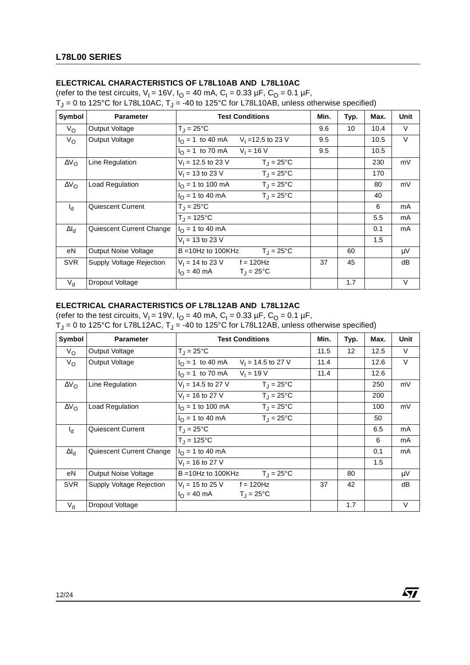# **ELECTRICAL CHARACTERISTICS OF L78L10AB AND L78L10AC**

(refer to the test circuits,  $V_1 = 16V$ ,  $I_O = 40$  mA,  $C_1 = 0.33$  µF,  $C_O = 0.1$  µF,

T<sub>J</sub> = 0 to 125°C for L78L10AC, T<sub>J</sub> = -40 to 125°C for L78L10AB, unless otherwise specified)

| Symbol             | <b>Parameter</b>            | <b>Test Conditions</b>                                   | Min. | Typ. | Max. | <b>Unit</b> |
|--------------------|-----------------------------|----------------------------------------------------------|------|------|------|-------------|
| $V_{\rm O}$        | Output Voltage              | $T_{\rm J} = 25^{\circ}$ C                               | 9.6  | 10   | 10.4 | V           |
| $V_{\rm O}$        | Output Voltage              | $I_{\Omega} = 1$ to 40 mA<br>$V_1 = 12.5$ to 23 V        | 9.5  |      | 10.5 | $\vee$      |
|                    |                             | $V_1 = 16 V$<br>$I_{\Omega}$ = 1 to 70 mA                | 9.5  |      | 10.5 |             |
| $\Delta V_{\rm O}$ | Line Regulation             | $V_1$ = 12.5 to 23 V<br>$T_J = 25^{\circ}C$              |      |      | 230  | mV          |
|                    |                             | $T_{\rm J} = 25^{\circ}$ C<br>$V_1 = 13$ to 23 V         |      |      | 170  |             |
| $\Delta V_{\rm O}$ | Load Regulation             | $T_{\rm J} = 25^{\circ}$ C<br>$I_{\Omega}$ = 1 to 100 mA |      |      | 80   | mV          |
|                    |                             | $T_{\rm J} = 25^{\circ}$ C<br>$I_{\Omega}$ = 1 to 40 mA  |      |      | 40   |             |
| $I_{d}$            | Quiescent Current           | $T_{\rm J} = 25^{\circ}$ C                               |      |      | 6    | mA          |
|                    |                             | $T_{\rm J} = 125^{\circ}C$                               |      |      | 5.5  | mA          |
| $\Delta I_d$       | Quiescent Current Change    | $I_{\Omega}$ = 1 to 40 mA                                |      |      | 0.1  | mA          |
|                    |                             | $V_1$ = 13 to 23 V                                       |      |      | 1.5  |             |
| eN                 | <b>Output Noise Voltage</b> | $B = 10Hz$ to 100KHz<br>$T_{\rm J} = 25^{\circ}$ C       |      | 60   |      | $\mu V$     |
| <b>SVR</b>         | Supply Voltage Rejection    | $V_1 = 14$ to 23 V f = 120Hz                             | 37   | 45   |      | dB          |
|                    |                             | $I_{\Omega} = 40 \text{ mA}$<br>$T_{\rm J}$ = 25°C       |      |      |      |             |
| $V_{\rm d}$        | Dropout Voltage             |                                                          |      | 1.7  |      | $\vee$      |

## **ELECTRICAL CHARACTERISTICS OF L78L12AB AND L78L12AC**

(refer to the test circuits,  $V_1 = 19V$ ,  $I_0 = 40$  mA,  $C_1 = 0.33 \mu F$ ,  $C_0 = 0.1 \mu F$ ,

| Symbol              | <b>Parameter</b>         | <b>Test Conditions</b>                                    | Min. | Typ. | Max. | <b>Unit</b> |
|---------------------|--------------------------|-----------------------------------------------------------|------|------|------|-------------|
| $V_{\rm O}$         | Output Voltage           | $T_{\rm J} = 25^{\circ}$ C                                | 11.5 | 12   | 12.5 | V           |
| $V_{\rm O}$         | Output Voltage           | $I_{\Omega}$ = 1 to 40 mA<br>$V_1$ = 14.5 to 27 V         | 11.4 |      | 12.6 | V           |
|                     |                          | $V_1 = 19 V$<br>$I_{\Omega}$ = 1 to 70 mA                 | 11.4 |      | 12.6 |             |
| $\Delta V_{\rm O}$  | Line Regulation          | $V_1 = 14.5$ to 27 V<br>$T_{J} = 25^{\circ}C$             |      |      | 250  | mV          |
|                     |                          | $V_1 = 16$ to 27 V<br>$T_{\rm J} = 25^{\circ}$ C          |      |      | 200  |             |
| $\Delta V_{\Omega}$ | Load Regulation          | $I_{\Omega}$ = 1 to 100 mA<br>$T_1 = 25^{\circ}C$         |      |      | 100  | mV          |
|                     |                          | $T_{\rm J} = 25^{\circ}$ C<br>$I_{\Omega}$ = 1 to 40 mA   |      |      | 50   |             |
| $I_d$               | Quiescent Current        | $T_J = 25$ °C                                             |      |      | 6.5  | mA          |
|                     |                          | $T_{J} = 125^{\circ}C$                                    |      |      | 6    | mA          |
| $\Delta I_d$        | Quiescent Current Change | $I_{\Omega}$ = 1 to 40 mA                                 |      |      | 0.1  | mA          |
|                     |                          | $V_1 = 16$ to 27 V                                        |      |      | 1.5  |             |
| eN                  | Output Noise Voltage     | $B = 10Hz$ to 100KHz<br>$T_{\rm J} = 25^{\circ}$ C        |      | 80   |      | μV          |
| <b>SVR</b>          | Supply Voltage Rejection | $V_1 = 15$ to 25 V f = 120Hz                              | 37   | 42   |      | dB          |
|                     |                          | $I_{\Omega} = 40 \text{ mA}$<br>$T_{\rm J} = 25^{\circ}C$ |      |      |      |             |
| $V_{d}$             | Dropout Voltage          |                                                           |      | 1.7  |      | V           |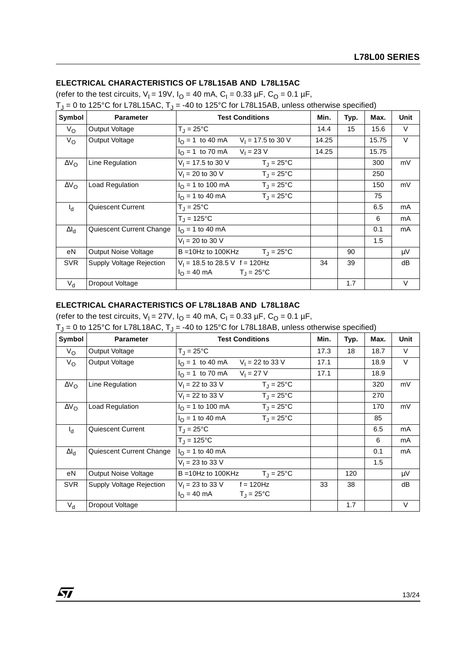# **ELECTRICAL CHARACTERISTICS OF L78L15AB AND L78L15AC**

(refer to the test circuits,  $V_1 = 19V$ ,  $I_0 = 40$  mA,  $C_1 = 0.33 \mu F$ ,  $C_0 = 0.1 \mu F$ ,  $T_1 = 0$  to 125°C for L78L15AC,  $T_1 = -40$  to 125°C for L78L15AB, unless otherwise specified)

| Symbol             | $\frac{1}{2}$ . $\frac{1}{2}$ . $\frac{1}{2}$ . $\frac{1}{2}$ . $\frac{1}{2}$ . $\frac{1}{2}$ . $\frac{1}{2}$ . $\frac{1}{2}$<br><b>Parameter</b> | $\sim$ . $\sim$ . $\sim$ . $\sim$ . $\sim$ . $\sim$ . $\sim$ . $\sim$ . $\sim$ . $\sim$ . $\sim$ . $\sim$ . $\sim$ . $\sim$ . $\sim$ . $\sim$ . $\sim$ . $\sim$ . $\sim$ . $\sim$ . $\sim$ . $\sim$ . $\sim$ . $\sim$ . $\sim$ . $\sim$ . $\sim$ . $\sim$ . $\sim$ . $\sim$ . $\sim$ . $\sim$<br><b>Test Conditions</b> | Min.  | Typ. | Max.  | Unit    |
|--------------------|---------------------------------------------------------------------------------------------------------------------------------------------------|-------------------------------------------------------------------------------------------------------------------------------------------------------------------------------------------------------------------------------------------------------------------------------------------------------------------------|-------|------|-------|---------|
|                    |                                                                                                                                                   |                                                                                                                                                                                                                                                                                                                         |       |      |       |         |
| $V_{\rm O}$        | Output Voltage                                                                                                                                    | $T_{\parallel}$ = 25°C                                                                                                                                                                                                                                                                                                  | 14.4  | 15   | 15.6  | V       |
| $V_{\rm O}$        | Output Voltage                                                                                                                                    | $I_{\Omega} = 1$ to 40 mA<br>$V_1$ = 17.5 to 30 V                                                                                                                                                                                                                                                                       | 14.25 |      | 15.75 | $\vee$  |
|                    |                                                                                                                                                   | $I_{\Omega} = 1$ to 70 mA<br>$V_1 = 23 V$                                                                                                                                                                                                                                                                               | 14.25 |      | 15.75 |         |
| $\Delta V_{\rm O}$ | Line Regulation                                                                                                                                   | $V_1$ = 17.5 to 30 V<br>$T_{\rm J} = 25^{\circ}$ C                                                                                                                                                                                                                                                                      |       |      | 300   | mV      |
|                    |                                                                                                                                                   | $V_1 = 20$ to 30 V<br>$T_{\rm J} = 25^{\circ}$ C                                                                                                                                                                                                                                                                        |       |      | 250   |         |
| $\Delta V_{\rm O}$ | Load Regulation                                                                                                                                   | $I_{\Omega}$ = 1 to 100 mA<br>$T_{\rm J} = 25^{\circ}$ C                                                                                                                                                                                                                                                                |       |      | 150   | mV      |
|                    |                                                                                                                                                   | $T_{\rm J} = 25^{\circ}$ C<br>$I_{\Omega}$ = 1 to 40 mA                                                                                                                                                                                                                                                                 |       |      | 75    |         |
| $I_d$              | Quiescent Current                                                                                                                                 | $T_{\rm J} = 25^{\circ}$ C                                                                                                                                                                                                                                                                                              |       |      | 6.5   | mA      |
|                    |                                                                                                                                                   | $T_{\rm J} = 125^{\circ}C$                                                                                                                                                                                                                                                                                              |       |      | 6     | mA      |
| $\Delta I_d$       | Quiescent Current Change                                                                                                                          | $I_{\Omega}$ = 1 to 40 mA                                                                                                                                                                                                                                                                                               |       |      | 0.1   | mA      |
|                    |                                                                                                                                                   | $V_1 = 20$ to 30 V                                                                                                                                                                                                                                                                                                      |       |      | 1.5   |         |
| eN                 | Output Noise Voltage                                                                                                                              | $T_{\text{J}} = 25^{\circ}C$<br>$B = 10Hz$ to 100KHz                                                                                                                                                                                                                                                                    |       | 90   |       | $\mu V$ |
| <b>SVR</b>         | Supply Voltage Rejection                                                                                                                          | $V_1$ = 18.5 to 28.5 V f = 120Hz                                                                                                                                                                                                                                                                                        | 34    | 39   |       | dB      |
|                    |                                                                                                                                                   | $I_{\Omega} = 40 \text{ mA}$ T <sub>J</sub> = 25 °C                                                                                                                                                                                                                                                                     |       |      |       |         |
| $V_{\mathsf{d}}$   | Dropout Voltage                                                                                                                                   |                                                                                                                                                                                                                                                                                                                         |       | 1.7  |       | V       |

### **ELECTRICAL CHARACTERISTICS OF L78L18AB AND L78L18AC**

 $\sqrt{1}$ 

(refer to the test circuits,  $V_1 = 27V$ ,  $I_0 = 40$  mA,  $C_1 = 0.33 \mu F$ ,  $C_0 = 0.1 \mu F$ ,

 $T_{\rm J}$  = 0 to 125°C for L78L18AC,  $T_{\rm J}$  = -40 to 125°C for L78L18AB, unless otherwise specified)

| <u>ັບ</u><br>Symbol | <b>Parameter</b>         | <b>Test Conditions</b>                                     | Min. | Typ. | Max. | Unit   |
|---------------------|--------------------------|------------------------------------------------------------|------|------|------|--------|
| $V_{\rm O}$         | Output Voltage           | $T_{\rm J} = 25^{\circ}$ C                                 | 17.3 | 18   | 18.7 | V      |
| $V_{\rm O}$         | Output Voltage           | $I_{\Omega}$ = 1 to 40 mA<br>$V_1 = 22$ to 33 V            | 17.1 |      | 18.9 | $\vee$ |
|                     |                          | $V_1 = 27 V$<br>$I_{\Omega}$ = 1 to 70 mA                  | 17.1 |      | 18.9 |        |
| $\Delta V_{\rm O}$  | Line Regulation          | $V_1 = 22$ to 33 V<br>$T_{\rm J} = 25^{\circ}$ C           |      |      | 320  | mV     |
|                     |                          | $V_1 = 22$ to 33 V<br>$T_{\rm J} = 25^{\circ}$ C           |      |      | 270  |        |
| $\Delta V_{\rm O}$  | Load Regulation          | $I_{\Omega}$ = 1 to 100 mA<br>$T_1 = 25^{\circ}C$          |      |      | 170  | mV     |
|                     |                          | $I_{\Omega}$ = 1 to 40 mA<br>$T_{\rm J} = 25^{\circ}$ C    |      |      | 85   |        |
| $I_d$               | <b>Quiescent Current</b> | $T_J = 25^{\circ}C$                                        |      |      | 6.5  | mA     |
|                     |                          | $T_{J} = 125^{\circ}C$                                     |      |      | 6    | mA     |
| $\Delta I_d$        | Quiescent Current Change | $I_{\Omega}$ = 1 to 40 mA                                  |      |      | 0.1  | mA     |
|                     |                          | $V_1 = 23$ to 33 V                                         |      |      | 1.5  |        |
| eN                  | Output Noise Voltage     | $T_{\rm J} = 25^{\circ}$ C<br>$B = 10Hz$ to 100KHz         |      | 120  |      | μV     |
| <b>SVR</b>          | Supply Voltage Rejection | $V_1 = 23$ to 33 V f = 120Hz                               | 33   | 38   |      | dB     |
|                     |                          | $I_{\Omega} = 40 \text{ mA}$<br>$T_{\rm J} = 25^{\circ}$ C |      |      |      |        |
| $V_{d}$             | Dropout Voltage          |                                                            |      | 1.7  |      | V      |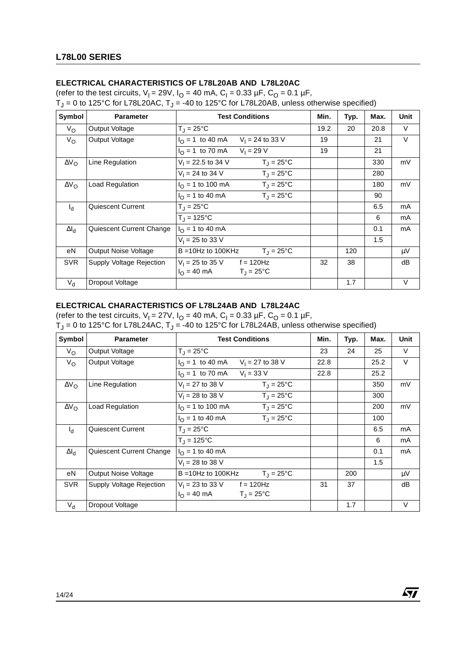# **ELECTRICAL CHARACTERISTICS OF L78L20AB AND L78L20AC**

(refer to the test circuits,  $V_1 = 29V$ ,  $I_Q = 40$  mA,  $C_1 = 0.33$  µF,  $C_Q = 0.1$  µF,

T<sub>J</sub> = 0 to 125°C for L78L20AC, T<sub>J</sub> = -40 to 125°C for L78L20AB, unless otherwise specified)

| Symbol             | <b>Parameter</b>            | <b>Test Conditions</b>                                    | Min. | Typ. | Max. | <b>Unit</b> |
|--------------------|-----------------------------|-----------------------------------------------------------|------|------|------|-------------|
| $V_{\rm O}$        | Output Voltage              | $T_{\rm J} = 25^{\circ}$ C                                | 19.2 | 20   | 20.8 | V           |
| $V_{\rm O}$        | Output Voltage              | $I_{\Omega} = 1$ to 40 mA<br>$V_1 = 24$ to 33 V           | 19   |      | 21   | $\vee$      |
|                    |                             | $V_1 = 29 V$<br>$I_{\Omega}$ = 1 to 70 mA                 | 19   |      | 21   |             |
| $\Delta V_{\rm O}$ | Line Regulation             | $V_1 = 22.5$ to 34 V<br>$T_J = 25^{\circ}C$               |      |      | 330  | mV          |
|                    |                             | $T_{\rm J} = 25^{\circ}$ C<br>$V_1 = 24$ to 34 V          |      |      | 280  |             |
| $\Delta V_{\rm O}$ | Load Regulation             | $T_{\rm J} = 25^{\circ}$ C<br>$I_{\Omega}$ = 1 to 100 mA  |      |      | 180  | mV          |
|                    |                             | $T_{\rm J} = 25^{\circ}$ C<br>$I_{\Omega}$ = 1 to 40 mA   |      |      | 90   |             |
| $I_{d}$            | Quiescent Current           | $T_{\rm J} = 25^{\circ}$ C                                |      |      | 6.5  | mA          |
|                    |                             | $T_{\rm J} = 125^{\circ}C$                                |      |      | 6    | mA          |
| $\Delta I_d$       | Quiescent Current Change    | $I_{\Omega}$ = 1 to 40 mA                                 |      |      | 0.1  | mA          |
|                    |                             | $V_1 = 25$ to 33 V                                        |      |      | 1.5  |             |
| еN                 | <b>Output Noise Voltage</b> | $B = 10$ Hz to 100KHz<br>$T_{\rm J} = 25^{\circ}$ C       |      | 120  |      | μV          |
| <b>SVR</b>         | Supply Voltage Rejection    | $V_1 = 25$ to 35 V f = 120Hz                              | 32   | 38   |      | dB          |
|                    |                             | $I_{\Omega} = 40 \text{ mA}$<br>$T_{\rm J} = 25^{\circ}C$ |      |      |      |             |
| $V_{d}$            | Dropout Voltage             |                                                           |      | 1.7  |      | $\vee$      |

#### **ELECTRICAL CHARACTERISTICS OF L78L24AB AND L78L24AC**

(refer to the test circuits,  $V_1 = 27V$ ,  $I_2 = 40$  mA,  $C_1 = 0.33$  uF,  $C_2 = 0.1$  uF,

| Symbol              | <b>Parameter</b>         | <b>Test Conditions</b>                                    | Min. | Typ. | Max. | Unit   |
|---------------------|--------------------------|-----------------------------------------------------------|------|------|------|--------|
| $V_{\rm O}$         | Output Voltage           | $T_{\rm J} = 25^{\circ}$ C                                | 23   | 24   | 25   | V      |
| $V_{\rm O}$         | Output Voltage           | $I_{\text{O}} = 1$ to 40 mA<br>$V_1 = 27$ to 38 V         | 22.8 |      | 25.2 | $\vee$ |
|                     |                          | $V_1 = 33 V$<br>$I_{\Omega}$ = 1 to 70 mA                 | 22.8 |      | 25.2 |        |
| $\Delta V_{\Omega}$ | Line Regulation          | $V_1 = 27$ to 38 V<br>$T_1 = 25^{\circ}C$                 |      |      | 350  | mV     |
|                     |                          | $V_1 = 28$ to 38 V<br>$T_{\rm J} = 25^{\circ}$ C          |      |      | 300  |        |
| $\Delta V_{\rm O}$  | <b>Load Regulation</b>   | $T_{\rm J} = 25^{\circ}$ C<br>$I_{\Omega}$ = 1 to 100 mA  |      |      | 200  | mV     |
|                     |                          | $T_{\rm J} = 25^{\circ}$ C<br>$I_{\Omega}$ = 1 to 40 mA   |      |      | 100  |        |
| $I_d$               | Quiescent Current        | $T_{\rm J} = 25^{\circ}$ C                                |      |      | 6.5  | mA     |
|                     |                          | $T_{\rm J} = 125^{\circ}C$                                |      |      | 6    | mA     |
| $\Delta I_d$        | Quiescent Current Change | $I_{\Omega}$ = 1 to 40 mA                                 |      |      | 0.1  | mA     |
|                     |                          | $V_1 = 28$ to 38 V                                        |      |      | 1.5  |        |
| eN                  | Output Noise Voltage     | $B = 10Hz$ to 100KHz<br>$T_{\rm J} = 25^{\circ}$ C        |      | 200  |      | μV     |
| <b>SVR</b>          | Supply Voltage Rejection | $V_1 = 23$ to 33 V f = 120Hz                              | 31   | 37   |      | dB     |
|                     |                          | $I_{\Omega} = 40 \text{ mA}$<br>$T_{\rm J} = 25^{\circ}C$ |      |      |      |        |
| $V_{d}$             | Dropout Voltage          |                                                           |      | 1.7  |      | V      |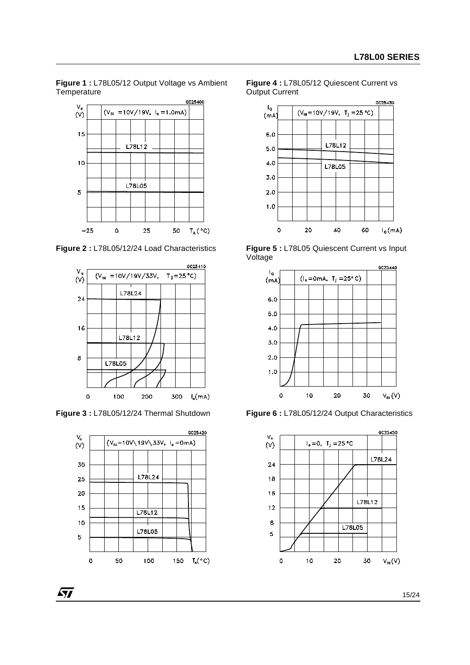**Figure 1 :** L78L05/12 Output Voltage vs Ambient **Temperature** 



**Figure 2 :** L78L05/12/24 Load Characteristics



**Figure 3 :** L78L05/12/24 Thermal Shutdown



*k*y





**Figure 5 :** L78L05 Quiescent Current vs Input Voltage



**Figure 6 :** L78L05/12/24 Output Characteristics

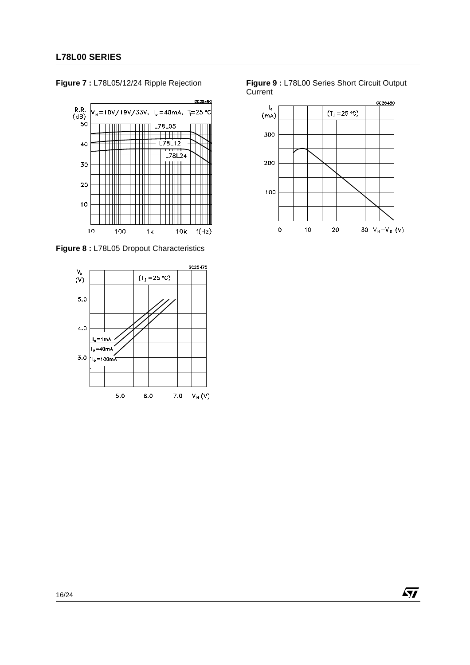



**Figure 8 :** L78L05 Dropout Characteristics



**Figure 9 :** L78L00 Series Short Circuit Output Current



 $\sqrt{M}$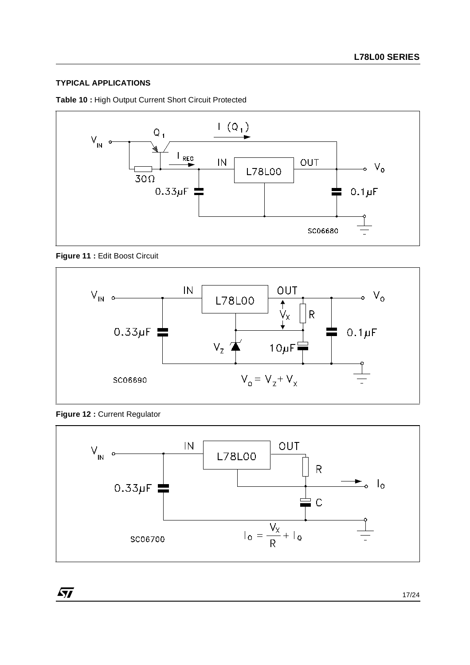# **TYPICAL APPLICATIONS**

**Table 10 :** High Output Current Short Circuit Protected



**Figure 11 :** Edit Boost Circuit



**Figure 12 :** Current Regulator

 $\sqrt{M}$ 

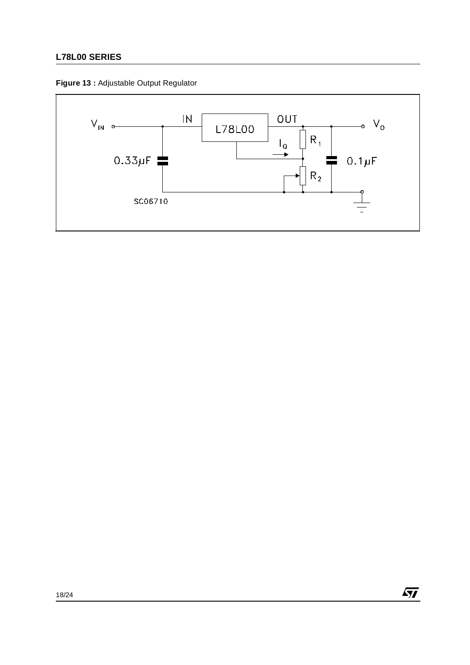# **L78L00 SERIES**





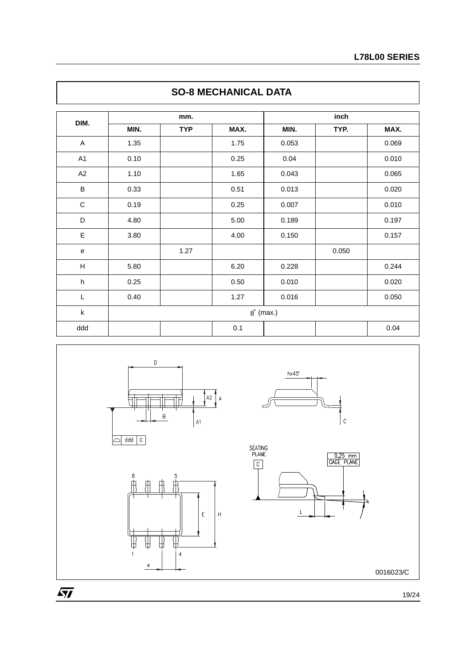|                           |             |            | <u>oo u meonandae baia</u> |       |       |       |  |  |
|---------------------------|-------------|------------|----------------------------|-------|-------|-------|--|--|
| DIM.                      | mm.         |            |                            | inch  |       |       |  |  |
|                           | MIN.        | <b>TYP</b> | MAX.                       | MIN.  | TYP.  | MAX.  |  |  |
| $\boldsymbol{\mathsf{A}}$ | 1.35        |            | 1.75                       | 0.053 |       | 0.069 |  |  |
| A <sub>1</sub>            | 0.10        |            | 0.25                       | 0.04  |       | 0.010 |  |  |
| A2                        | 1.10        |            | 1.65                       | 0.043 |       | 0.065 |  |  |
| $\sf B$                   | 0.33        |            | 0.51                       | 0.013 |       | 0.020 |  |  |
| $\mathbf C$               | 0.19        |            | 0.25                       | 0.007 |       | 0.010 |  |  |
| D                         | 4.80        |            | 5.00                       | 0.189 |       | 0.197 |  |  |
| E                         | 3.80        |            | 4.00                       | 0.150 |       | 0.157 |  |  |
| e                         |             | 1.27       |                            |       | 0.050 |       |  |  |
| $\boldsymbol{\mathsf{H}}$ | 5.80        |            | 6.20                       | 0.228 |       | 0.244 |  |  |
| $\boldsymbol{\mathsf{h}}$ | 0.25        |            | 0.50                       | 0.010 |       | 0.020 |  |  |
| L                         | 0.40        |            | 1.27                       | 0.016 |       | 0.050 |  |  |
| $\sf k$                   | $8°$ (max.) |            |                            |       |       |       |  |  |
| ddd                       |             |            | 0.1                        |       |       | 0.04  |  |  |



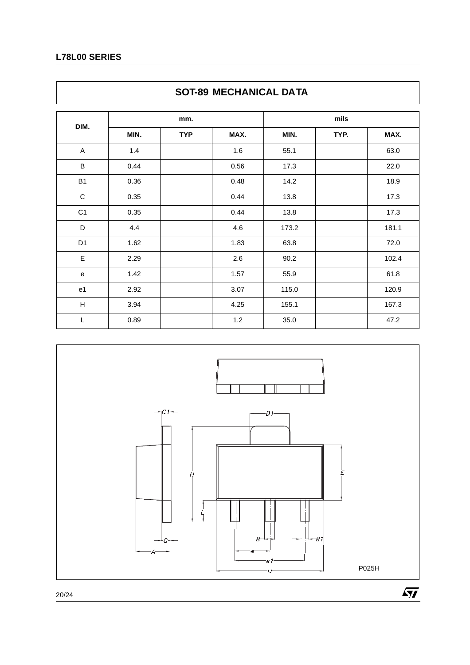# **L78L00 SERIES**

 $\Gamma$ 

|                           | <b>JUITOJ IVILUITAINIUAL DA IA</b> |            |      |       |      |       |  |  |  |
|---------------------------|------------------------------------|------------|------|-------|------|-------|--|--|--|
|                           |                                    | mm.        |      |       | mils |       |  |  |  |
| DIM.                      | MIN.                               | <b>TYP</b> | MAX. | MIN.  | TYP. | MAX.  |  |  |  |
| A                         | 1.4                                |            | 1.6  | 55.1  |      | 63.0  |  |  |  |
| $\sf B$                   | 0.44                               |            | 0.56 | 17.3  |      | 22.0  |  |  |  |
| <b>B1</b>                 | 0.36                               |            | 0.48 | 14.2  |      | 18.9  |  |  |  |
| $\mathbf C$               | 0.35                               |            | 0.44 | 13.8  |      | 17.3  |  |  |  |
| C <sub>1</sub>            | 0.35                               |            | 0.44 | 13.8  |      | 17.3  |  |  |  |
| D                         | 4.4                                |            | 4.6  | 173.2 |      | 181.1 |  |  |  |
| D <sub>1</sub>            | 1.62                               |            | 1.83 | 63.8  |      | 72.0  |  |  |  |
| E                         | 2.29                               |            | 2.6  | 90.2  |      | 102.4 |  |  |  |
| e                         | 1.42                               |            | 1.57 | 55.9  |      | 61.8  |  |  |  |
| e <sub>1</sub>            | 2.92                               |            | 3.07 | 115.0 |      | 120.9 |  |  |  |
| $\boldsymbol{\mathsf{H}}$ | 3.94                               |            | 4.25 | 155.1 |      | 167.3 |  |  |  |
| L                         | 0.89                               |            | 1.2  | 35.0  |      | 47.2  |  |  |  |



# **SOT-89 MECHANICAL DATA**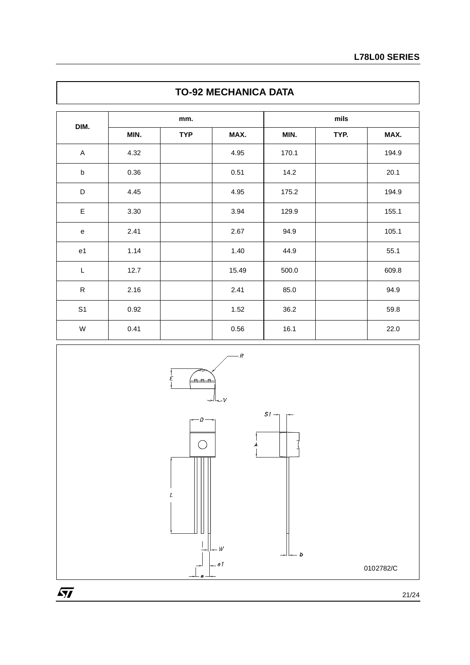| <b>TO-92 MECHANICA DATA</b> |      |            |       |       |      |       |  |  |
|-----------------------------|------|------------|-------|-------|------|-------|--|--|
| DIM.                        |      | mm.        |       |       | mils |       |  |  |
|                             | MIN. | <b>TYP</b> | MAX.  | MIN.  | TYP. | MAX.  |  |  |
| A                           | 4.32 |            | 4.95  | 170.1 |      | 194.9 |  |  |
| $\sf b$                     | 0.36 |            | 0.51  | 14.2  |      | 20.1  |  |  |
| D                           | 4.45 |            | 4.95  | 175.2 |      | 194.9 |  |  |
| E                           | 3.30 |            | 3.94  | 129.9 |      | 155.1 |  |  |
| e                           | 2.41 |            | 2.67  | 94.9  |      | 105.1 |  |  |
| e <sub>1</sub>              | 1.14 |            | 1.40  | 44.9  |      | 55.1  |  |  |
| L                           | 12.7 |            | 15.49 | 500.0 |      | 609.8 |  |  |
| ${\sf R}$                   | 2.16 |            | 2.41  | 85.0  |      | 94.9  |  |  |
| S <sub>1</sub>              | 0.92 |            | 1.52  | 36.2  |      | 59.8  |  |  |
| W                           | 0.41 |            | 0.56  | 16.1  |      | 22.0  |  |  |

 $\mathsf{I}$ 

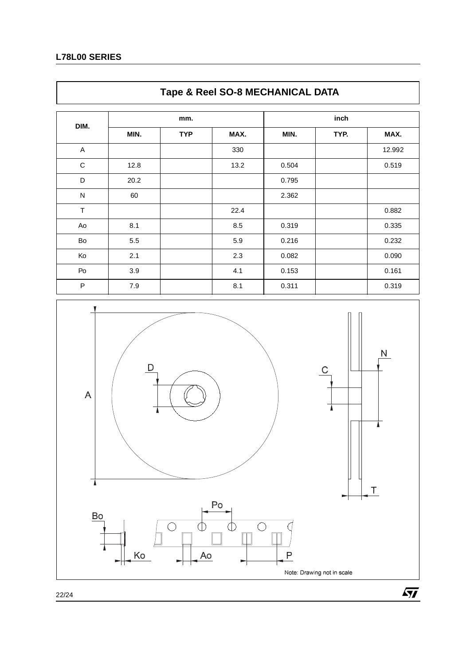# **L78L00 SERIES**

 $\overline{\Gamma}$ 

|              | Tape & Reel SO-8 MECHANICAL DATA |            |      |       |      |        |  |  |
|--------------|----------------------------------|------------|------|-------|------|--------|--|--|
|              | mm.                              |            |      | inch  |      |        |  |  |
| DIM.         | MIN.                             | <b>TYP</b> | MAX. | MIN.  | TYP. | MAX.   |  |  |
| A            |                                  |            | 330  |       |      | 12.992 |  |  |
| $\mathbf C$  | 12.8                             |            | 13.2 | 0.504 |      | 0.519  |  |  |
| D            | 20.2                             |            |      | 0.795 |      |        |  |  |
| $\mathsf{N}$ | 60                               |            |      | 2.362 |      |        |  |  |
| $\top$       |                                  |            | 22.4 |       |      | 0.882  |  |  |
| Ao           | 8.1                              |            | 8.5  | 0.319 |      | 0.335  |  |  |
| Bo           | 5.5                              |            | 5.9  | 0.216 |      | 0.232  |  |  |
| Ko           | 2.1                              |            | 2.3  | 0.082 |      | 0.090  |  |  |
| Po           | 3.9                              |            | 4.1  | 0.153 |      | 0.161  |  |  |
| $\mathsf{P}$ | 7.9                              |            | 8.1  | 0.311 |      | 0.319  |  |  |

٦



22/24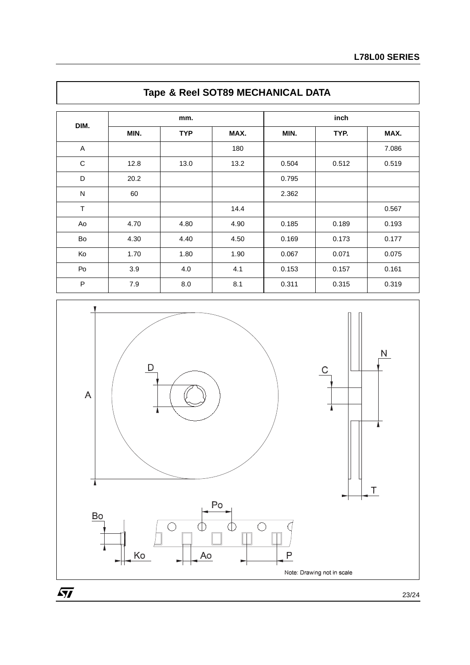| DIM.         |      | mm.        |      |       | inch  |       |  |  |
|--------------|------|------------|------|-------|-------|-------|--|--|
|              | MIN. | <b>TYP</b> | MAX. | MIN.  | TYP.  | MAX.  |  |  |
| A            |      |            | 180  |       |       | 7.086 |  |  |
| C            | 12.8 | 13.0       | 13.2 | 0.504 | 0.512 | 0.519 |  |  |
| D            | 20.2 |            |      | 0.795 |       |       |  |  |
| $\mathsf{N}$ | 60   |            |      | 2.362 |       |       |  |  |
| $\top$       |      |            | 14.4 |       |       | 0.567 |  |  |
| Ao           | 4.70 | 4.80       | 4.90 | 0.185 | 0.189 | 0.193 |  |  |
| Bo           | 4.30 | 4.40       | 4.50 | 0.169 | 0.173 | 0.177 |  |  |
| Ko           | 1.70 | 1.80       | 1.90 | 0.067 | 0.071 | 0.075 |  |  |
| Po           | 3.9  | 4.0        | 4.1  | 0.153 | 0.157 | 0.161 |  |  |
| P            | 7.9  | 8.0        | 8.1  | 0.311 | 0.315 | 0.319 |  |  |





23/24